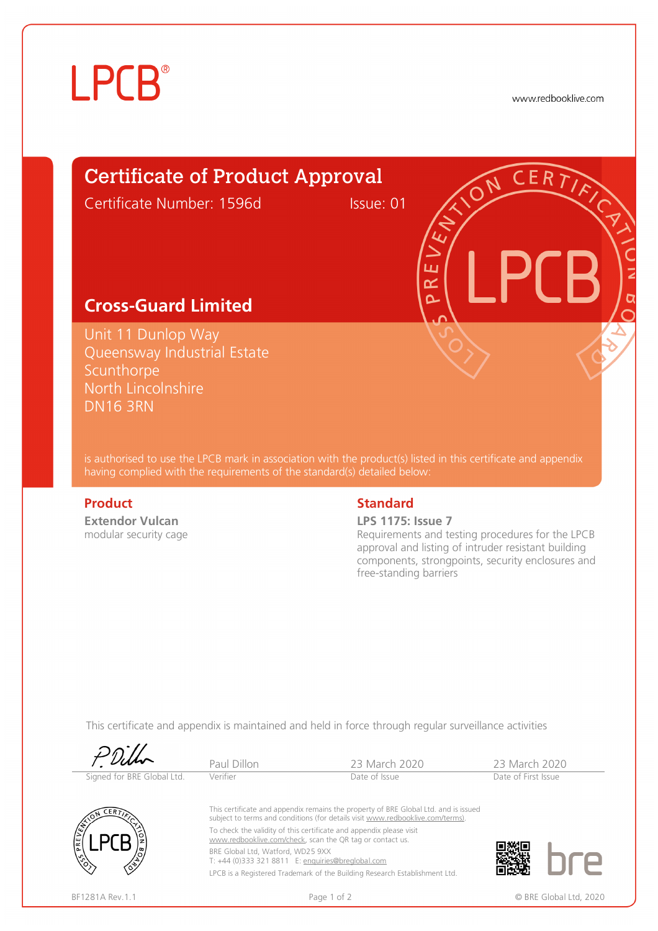# **LPCB**®

www.redbooklive.com

# Certificate of Product Approval

Certificate Number: 1596d Issue: 01

ய œ  $\overline{\mathbf{C}}$ 

### **Cross-Guard Limited**

Unit 11 Dunlop Way Queensway Industrial Estate **Scunthorpe** North Lincolnshire DN16 3RN

is authorised to use the LPCB mark in association with the product(s) listed in this certificate and appendix having complied with the requirements of the standard(s) detailed below:

**Extendor Vulcan**  modular security cage

### **Product** Standard **Standard**

### **LPS 1175: Issue 7**

Requirements and testing procedures for the LPCB approval and listing of intruder resistant building components, strongpoints, security enclosures and free-standing barriers

This certificate and appendix is maintained and held in force through regular surveillance activities

|                                             | Paul Dillon                                                                            | 23 March 2020                                                                                                                                                                                                                                                                                                                                                                           | 23 March 2020       |                        |
|---------------------------------------------|----------------------------------------------------------------------------------------|-----------------------------------------------------------------------------------------------------------------------------------------------------------------------------------------------------------------------------------------------------------------------------------------------------------------------------------------------------------------------------------------|---------------------|------------------------|
| Signed for BRE Global Ltd.                  | Verifier                                                                               | Date of Issue                                                                                                                                                                                                                                                                                                                                                                           | Date of First Issue |                        |
| <b>LERT</b><br>$\sqrt{\frac{\xi}{2}}$<br>RE | BRE Global Ltd, Watford, WD25 9XX<br>T: +44 (0)333 321 8811 E: enquiries@breglobal.com | This certificate and appendix remains the property of BRE Global Ltd. and is issued<br>subject to terms and conditions (for details visit www.redbooklive.com/terms).<br>To check the validity of this certificate and appendix please visit<br>www.redbooklive.com/check, scan the QR tag or contact us.<br>LPCB is a Registered Trademark of the Building Research Establishment Ltd. |                     |                        |
| BF1281A Rev.1.1                             |                                                                                        | Page 1 of 2                                                                                                                                                                                                                                                                                                                                                                             |                     | © BRE Global Ltd, 2020 |